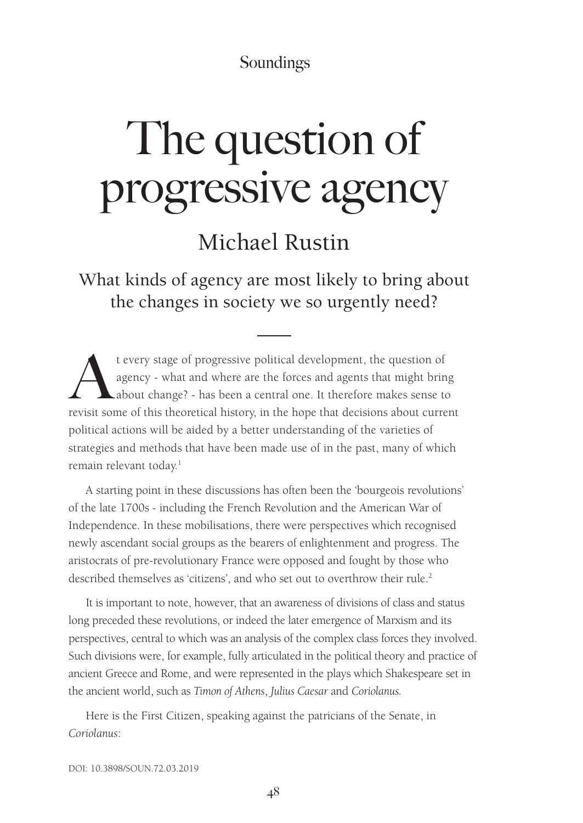# The question of progressive agency

## Michael Rustin

What kinds of agency are most likely to bring about the changes in society we so urgently need?

t every stage of progressive political development, the question of agency - what and where are the forces and agents that might brin<br>about change? - has been a central one. It therefore makes sense to<br>revisit some of this agency - what and where are the forces and agents that might bring about change? - has been a central one. It therefore makes sense to revisit some of this theoretical history, in the hope that decisions about current political actions will be aided by a better understanding of the varieties of strategies and methods that have been made use of in the past, many of which remain relevant today.<sup>1</sup>

A starting point in these discussions has often been the 'bourgeois revolutions' of the late 1700s - including the French Revolution and the American War of Independence. In these mobilisations, there were perspectives which recognised newly ascendant social groups as the bearers of enlightenment and progress. The aristocrats of pre-revolutionary France were opposed and fought by those who described themselves as 'citizens', and who set out to overthrow their rule.<sup>2</sup>

It is important to note, however, that an awareness of divisions of class and status long preceded these revolutions, or indeed the later emergence of Marxism and its perspectives, central to which was an analysis of the complex class forces they involved. Such divisions were, for example, fully articulated in the political theory and practice of ancient Greece and Rome, and were represented in the plays which Shakespeare set in the ancient world, such as *Timon of Athens*, *Julius Caesar* and *Coriolanus.*

Here is the First Citizen, speaking against the patricians of the Senate, in *Coriolanus*: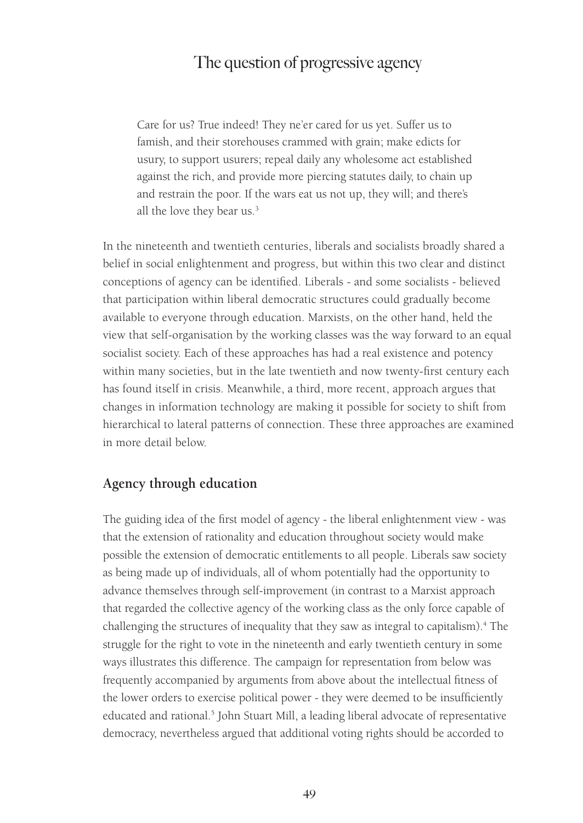Care for us? True indeed! They ne'er cared for us yet. Suffer us to famish, and their storehouses crammed with grain; make edicts for usury, to support usurers; repeal daily any wholesome act established against the rich, and provide more piercing statutes daily, to chain up and restrain the poor. If the wars eat us not up, they will; and there's all the love they bear us.<sup>3</sup>

In the nineteenth and twentieth centuries, liberals and socialists broadly shared a belief in social enlightenment and progress, but within this two clear and distinct conceptions of agency can be identified. Liberals - and some socialists - believed that participation within liberal democratic structures could gradually become available to everyone through education. Marxists, on the other hand, held the view that self-organisation by the working classes was the way forward to an equal socialist society. Each of these approaches has had a real existence and potency within many societies, but in the late twentieth and now twenty-first century each has found itself in crisis. Meanwhile, a third, more recent, approach argues that changes in information technology are making it possible for society to shift from hierarchical to lateral patterns of connection. These three approaches are examined in more detail below.

#### **Agency through education**

The guiding idea of the first model of agency - the liberal enlightenment view - was that the extension of rationality and education throughout society would make possible the extension of democratic entitlements to all people. Liberals saw society as being made up of individuals, all of whom potentially had the opportunity to advance themselves through self-improvement (in contrast to a Marxist approach that regarded the collective agency of the working class as the only force capable of challenging the structures of inequality that they saw as integral to capitalism).<sup>4</sup> The struggle for the right to vote in the nineteenth and early twentieth century in some ways illustrates this difference. The campaign for representation from below was frequently accompanied by arguments from above about the intellectual fitness of the lower orders to exercise political power - they were deemed to be insufficiently educated and rational.<sup>5</sup> John Stuart Mill, a leading liberal advocate of representative democracy, nevertheless argued that additional voting rights should be accorded to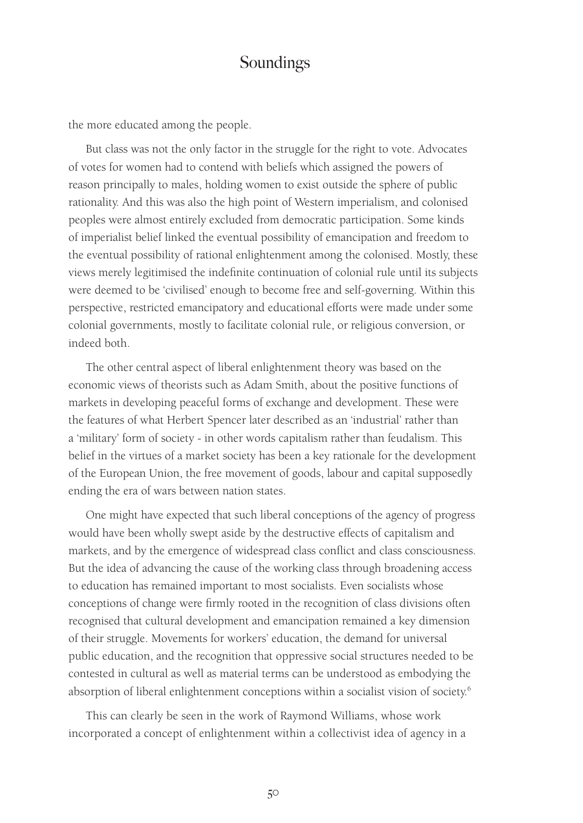the more educated among the people.

But class was not the only factor in the struggle for the right to vote. Advocates of votes for women had to contend with beliefs which assigned the powers of reason principally to males, holding women to exist outside the sphere of public rationality. And this was also the high point of Western imperialism, and colonised peoples were almost entirely excluded from democratic participation. Some kinds of imperialist belief linked the eventual possibility of emancipation and freedom to the eventual possibility of rational enlightenment among the colonised. Mostly, these views merely legitimised the indefinite continuation of colonial rule until its subjects were deemed to be 'civilised' enough to become free and self-governing. Within this perspective, restricted emancipatory and educational efforts were made under some colonial governments, mostly to facilitate colonial rule, or religious conversion, or indeed both.

The other central aspect of liberal enlightenment theory was based on the economic views of theorists such as Adam Smith, about the positive functions of markets in developing peaceful forms of exchange and development. These were the features of what Herbert Spencer later described as an 'industrial' rather than a 'military' form of society - in other words capitalism rather than feudalism. This belief in the virtues of a market society has been a key rationale for the development of the European Union, the free movement of goods, labour and capital supposedly ending the era of wars between nation states.

One might have expected that such liberal conceptions of the agency of progress would have been wholly swept aside by the destructive effects of capitalism and markets, and by the emergence of widespread class conflict and class consciousness. But the idea of advancing the cause of the working class through broadening access to education has remained important to most socialists. Even socialists whose conceptions of change were firmly rooted in the recognition of class divisions often recognised that cultural development and emancipation remained a key dimension of their struggle. Movements for workers' education, the demand for universal public education, and the recognition that oppressive social structures needed to be contested in cultural as well as material terms can be understood as embodying the absorption of liberal enlightenment conceptions within a socialist vision of society.<sup>6</sup>

This can clearly be seen in the work of Raymond Williams, whose work incorporated a concept of enlightenment within a collectivist idea of agency in a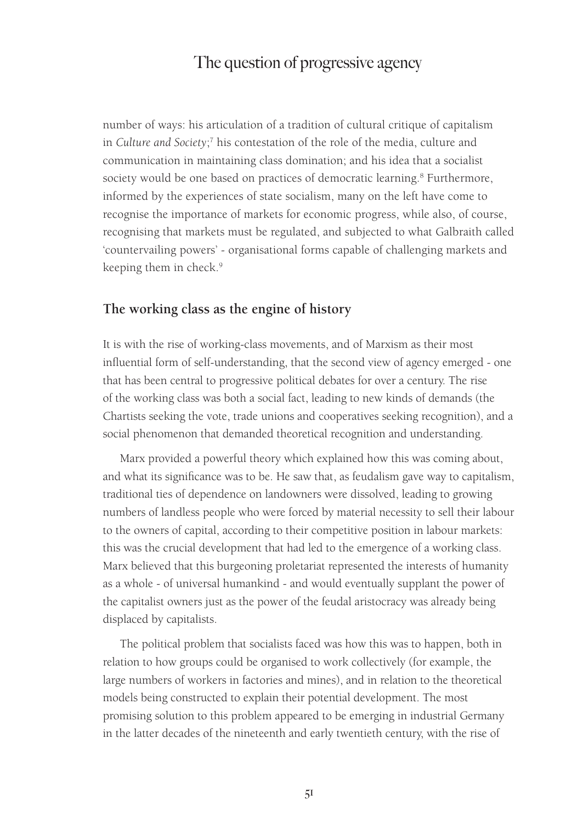number of ways: his articulation of a tradition of cultural critique of capitalism in *Culture and Society*; 7 his contestation of the role of the media, culture and communication in maintaining class domination; and his idea that a socialist society would be one based on practices of democratic learning.<sup>8</sup> Furthermore, informed by the experiences of state socialism, many on the left have come to recognise the importance of markets for economic progress, while also, of course, recognising that markets must be regulated, and subjected to what Galbraith called 'countervailing powers' - organisational forms capable of challenging markets and keeping them in check.<sup>9</sup>

#### **The working class as the engine of history**

It is with the rise of working-class movements, and of Marxism as their most influential form of self-understanding, that the second view of agency emerged - one that has been central to progressive political debates for over a century. The rise of the working class was both a social fact, leading to new kinds of demands (the Chartists seeking the vote, trade unions and cooperatives seeking recognition), and a social phenomenon that demanded theoretical recognition and understanding.

Marx provided a powerful theory which explained how this was coming about, and what its significance was to be. He saw that, as feudalism gave way to capitalism, traditional ties of dependence on landowners were dissolved, leading to growing numbers of landless people who were forced by material necessity to sell their labour to the owners of capital, according to their competitive position in labour markets: this was the crucial development that had led to the emergence of a working class. Marx believed that this burgeoning proletariat represented the interests of humanity as a whole - of universal humankind - and would eventually supplant the power of the capitalist owners just as the power of the feudal aristocracy was already being displaced by capitalists.

The political problem that socialists faced was how this was to happen, both in relation to how groups could be organised to work collectively (for example, the large numbers of workers in factories and mines), and in relation to the theoretical models being constructed to explain their potential development. The most promising solution to this problem appeared to be emerging in industrial Germany in the latter decades of the nineteenth and early twentieth century, with the rise of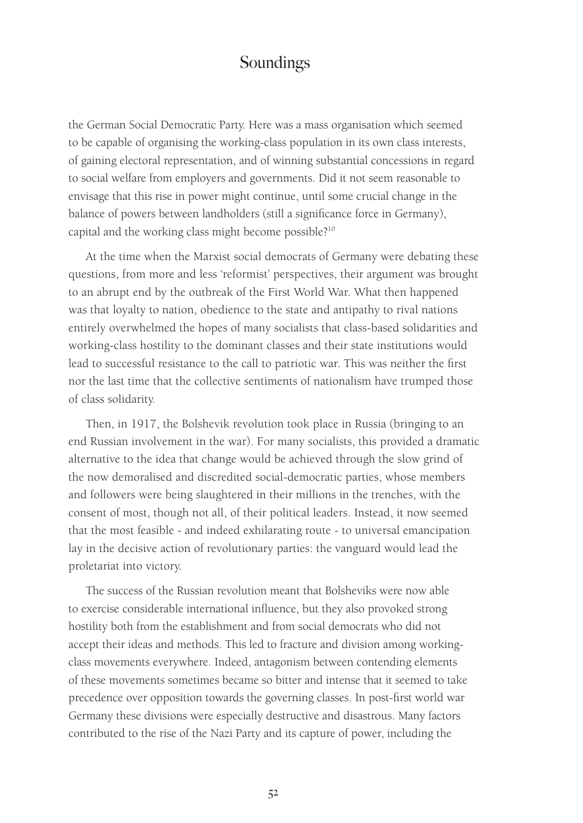the German Social Democratic Party. Here was a mass organisation which seemed to be capable of organising the working-class population in its own class interests, of gaining electoral representation, and of winning substantial concessions in regard to social welfare from employers and governments. Did it not seem reasonable to envisage that this rise in power might continue, until some crucial change in the balance of powers between landholders (still a significance force in Germany), capital and the working class might become possible?10

At the time when the Marxist social democrats of Germany were debating these questions, from more and less 'reformist' perspectives, their argument was brought to an abrupt end by the outbreak of the First World War. What then happened was that loyalty to nation, obedience to the state and antipathy to rival nations entirely overwhelmed the hopes of many socialists that class-based solidarities and working-class hostility to the dominant classes and their state institutions would lead to successful resistance to the call to patriotic war. This was neither the first nor the last time that the collective sentiments of nationalism have trumped those of class solidarity.

Then, in 1917, the Bolshevik revolution took place in Russia (bringing to an end Russian involvement in the war). For many socialists, this provided a dramatic alternative to the idea that change would be achieved through the slow grind of the now demoralised and discredited social-democratic parties, whose members and followers were being slaughtered in their millions in the trenches, with the consent of most, though not all, of their political leaders. Instead, it now seemed that the most feasible - and indeed exhilarating route - to universal emancipation lay in the decisive action of revolutionary parties: the vanguard would lead the proletariat into victory.

The success of the Russian revolution meant that Bolsheviks were now able to exercise considerable international influence, but they also provoked strong hostility both from the establishment and from social democrats who did not accept their ideas and methods. This led to fracture and division among workingclass movements everywhere. Indeed, antagonism between contending elements of these movements sometimes became so bitter and intense that it seemed to take precedence over opposition towards the governing classes. In post-first world war Germany these divisions were especially destructive and disastrous. Many factors contributed to the rise of the Nazi Party and its capture of power, including the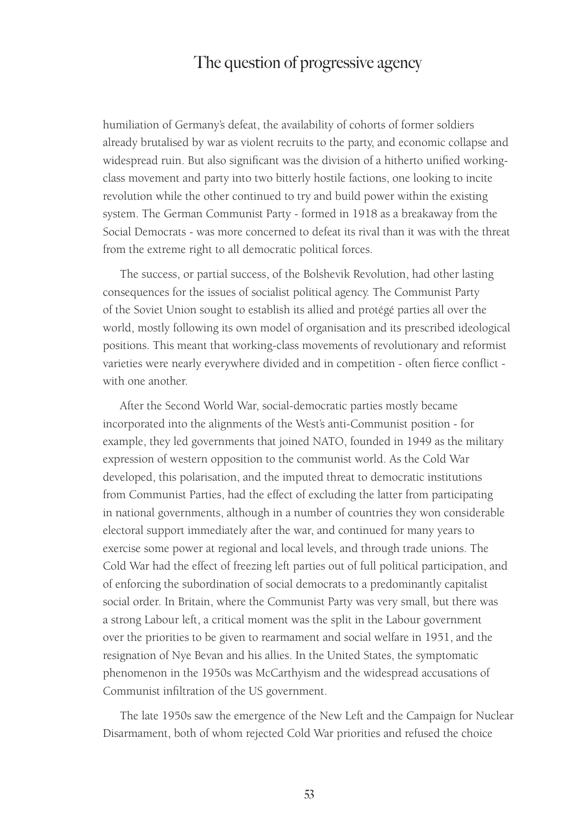humiliation of Germany's defeat, the availability of cohorts of former soldiers already brutalised by war as violent recruits to the party, and economic collapse and widespread ruin. But also significant was the division of a hitherto unified workingclass movement and party into two bitterly hostile factions, one looking to incite revolution while the other continued to try and build power within the existing system. The German Communist Party - formed in 1918 as a breakaway from the Social Democrats - was more concerned to defeat its rival than it was with the threat from the extreme right to all democratic political forces.

The success, or partial success, of the Bolshevik Revolution, had other lasting consequences for the issues of socialist political agency. The Communist Party of the Soviet Union sought to establish its allied and protégé parties all over the world, mostly following its own model of organisation and its prescribed ideological positions. This meant that working-class movements of revolutionary and reformist varieties were nearly everywhere divided and in competition - often fierce conflict with one another.

After the Second World War, social-democratic parties mostly became incorporated into the alignments of the West's anti-Communist position - for example, they led governments that joined NATO, founded in 1949 as the military expression of western opposition to the communist world. As the Cold War developed, this polarisation, and the imputed threat to democratic institutions from Communist Parties, had the effect of excluding the latter from participating in national governments, although in a number of countries they won considerable electoral support immediately after the war, and continued for many years to exercise some power at regional and local levels, and through trade unions. The Cold War had the effect of freezing left parties out of full political participation, and of enforcing the subordination of social democrats to a predominantly capitalist social order. In Britain, where the Communist Party was very small, but there was a strong Labour left, a critical moment was the split in the Labour government over the priorities to be given to rearmament and social welfare in 1951, and the resignation of Nye Bevan and his allies. In the United States, the symptomatic phenomenon in the 1950s was McCarthyism and the widespread accusations of Communist infiltration of the US government.

The late 1950s saw the emergence of the New Left and the Campaign for Nuclear Disarmament, both of whom rejected Cold War priorities and refused the choice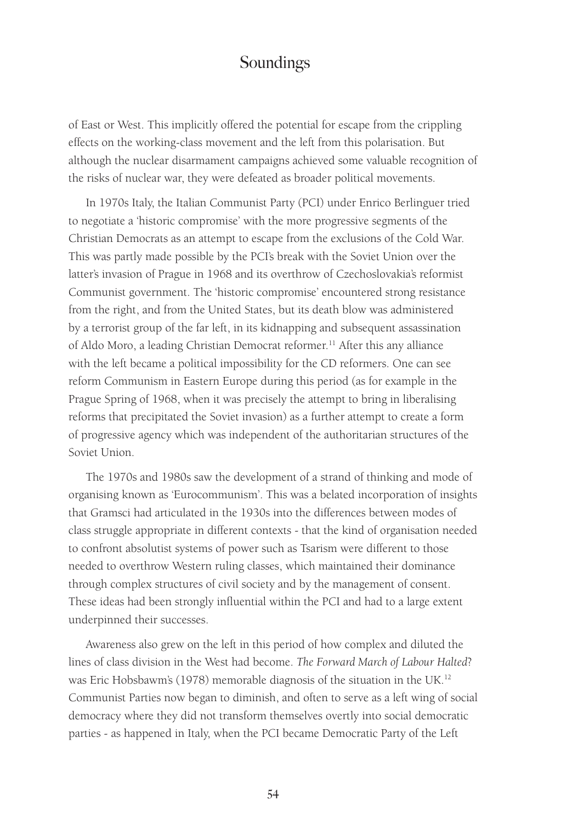of East or West. This implicitly offered the potential for escape from the crippling effects on the working-class movement and the left from this polarisation. But although the nuclear disarmament campaigns achieved some valuable recognition of the risks of nuclear war, they were defeated as broader political movements.

In 1970s Italy, the Italian Communist Party (PCI) under Enrico Berlinguer tried to negotiate a 'historic compromise' with the more progressive segments of the Christian Democrats as an attempt to escape from the exclusions of the Cold War. This was partly made possible by the PCI's break with the Soviet Union over the latter's invasion of Prague in 1968 and its overthrow of Czechoslovakia's reformist Communist government. The 'historic compromise' encountered strong resistance from the right, and from the United States, but its death blow was administered by a terrorist group of the far left, in its kidnapping and subsequent assassination of Aldo Moro, a leading Christian Democrat reformer.<sup>11</sup> After this any alliance with the left became a political impossibility for the CD reformers. One can see reform Communism in Eastern Europe during this period (as for example in the Prague Spring of 1968, when it was precisely the attempt to bring in liberalising reforms that precipitated the Soviet invasion) as a further attempt to create a form of progressive agency which was independent of the authoritarian structures of the Soviet Union.

The 1970s and 1980s saw the development of a strand of thinking and mode of organising known as 'Eurocommunism'. This was a belated incorporation of insights that Gramsci had articulated in the 1930s into the differences between modes of class struggle appropriate in different contexts - that the kind of organisation needed to confront absolutist systems of power such as Tsarism were different to those needed to overthrow Western ruling classes, which maintained their dominance through complex structures of civil society and by the management of consent. These ideas had been strongly influential within the PCI and had to a large extent underpinned their successes.

Awareness also grew on the left in this period of how complex and diluted the lines of class division in the West had become. *The Forward March of Labour Halted*? was Eric Hobsbawm's (1978) memorable diagnosis of the situation in the UK.<sup>12</sup> Communist Parties now began to diminish, and often to serve as a left wing of social democracy where they did not transform themselves overtly into social democratic parties - as happened in Italy, when the PCI became Democratic Party of the Left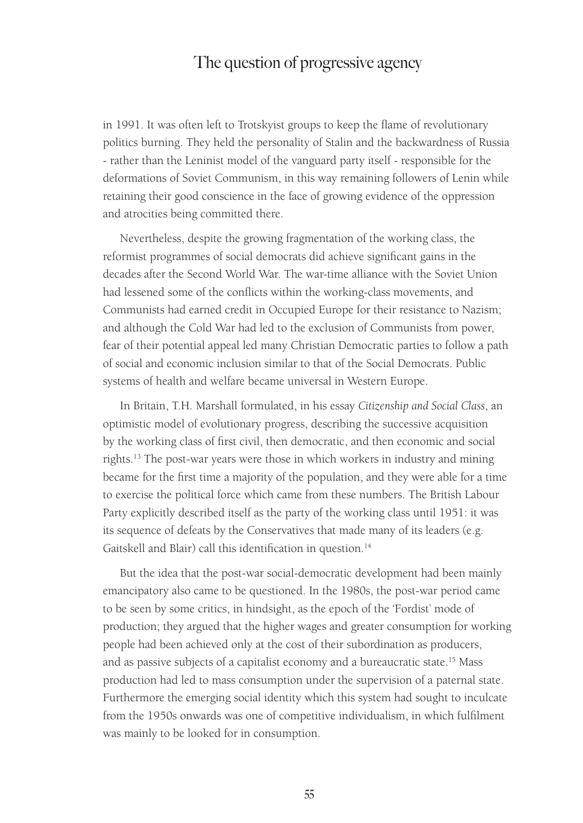in 1991. It was often left to Trotskyist groups to keep the flame of revolutionary politics burning. They held the personality of Stalin and the backwardness of Russia - rather than the Leninist model of the vanguard party itself - responsible for the deformations of Soviet Communism, in this way remaining followers of Lenin while retaining their good conscience in the face of growing evidence of the oppression and atrocities being committed there.

Nevertheless, despite the growing fragmentation of the working class, the reformist programmes of social democrats did achieve significant gains in the decades after the Second World War. The war-time alliance with the Soviet Union had lessened some of the conflicts within the working-class movements, and Communists had earned credit in Occupied Europe for their resistance to Nazism; and although the Cold War had led to the exclusion of Communists from power, fear of their potential appeal led many Christian Democratic parties to follow a path of social and economic inclusion similar to that of the Social Democrats. Public systems of health and welfare became universal in Western Europe.

In Britain, T.H. Marshall formulated, in his essay *Citizenship and Social Class*, an optimistic model of evolutionary progress, describing the successive acquisition by the working class of first civil, then democratic, and then economic and social rights.13 The post-war years were those in which workers in industry and mining became for the first time a majority of the population, and they were able for a time to exercise the political force which came from these numbers. The British Labour Party explicitly described itself as the party of the working class until 1951: it was its sequence of defeats by the Conservatives that made many of its leaders (e.g. Gaitskell and Blair) call this identification in question.<sup>14</sup>

But the idea that the post-war social-democratic development had been mainly emancipatory also came to be questioned. In the 1980s, the post-war period came to be seen by some critics, in hindsight, as the epoch of the 'Fordist' mode of production; they argued that the higher wages and greater consumption for working people had been achieved only at the cost of their subordination as producers, and as passive subjects of a capitalist economy and a bureaucratic state.<sup>15</sup> Mass production had led to mass consumption under the supervision of a paternal state. Furthermore the emerging social identity which this system had sought to inculcate from the 1950s onwards was one of competitive individualism, in which fulfilment was mainly to be looked for in consumption.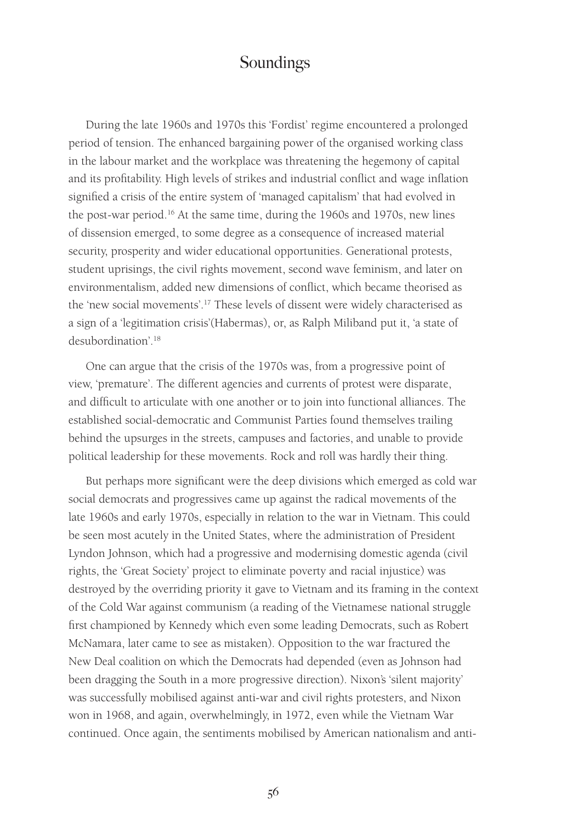During the late 1960s and 1970s this 'Fordist' regime encountered a prolonged period of tension. The enhanced bargaining power of the organised working class in the labour market and the workplace was threatening the hegemony of capital and its profitability. High levels of strikes and industrial conflict and wage inflation signified a crisis of the entire system of 'managed capitalism' that had evolved in the post-war period.16 At the same time, during the 1960s and 1970s, new lines of dissension emerged, to some degree as a consequence of increased material security, prosperity and wider educational opportunities. Generational protests, student uprisings, the civil rights movement, second wave feminism, and later on environmentalism, added new dimensions of conflict, which became theorised as the 'new social movements'.17 These levels of dissent were widely characterised as a sign of a 'legitimation crisis'(Habermas), or, as Ralph Miliband put it, 'a state of desubordination'.18

One can argue that the crisis of the 1970s was, from a progressive point of view, 'premature'. The different agencies and currents of protest were disparate, and difficult to articulate with one another or to join into functional alliances. The established social-democratic and Communist Parties found themselves trailing behind the upsurges in the streets, campuses and factories, and unable to provide political leadership for these movements. Rock and roll was hardly their thing.

But perhaps more significant were the deep divisions which emerged as cold war social democrats and progressives came up against the radical movements of the late 1960s and early 1970s, especially in relation to the war in Vietnam. This could be seen most acutely in the United States, where the administration of President Lyndon Johnson, which had a progressive and modernising domestic agenda (civil rights, the 'Great Society' project to eliminate poverty and racial injustice) was destroyed by the overriding priority it gave to Vietnam and its framing in the context of the Cold War against communism (a reading of the Vietnamese national struggle first championed by Kennedy which even some leading Democrats, such as Robert McNamara, later came to see as mistaken). Opposition to the war fractured the New Deal coalition on which the Democrats had depended (even as Johnson had been dragging the South in a more progressive direction). Nixon's 'silent majority' was successfully mobilised against anti-war and civil rights protesters, and Nixon won in 1968, and again, overwhelmingly, in 1972, even while the Vietnam War continued. Once again, the sentiments mobilised by American nationalism and anti-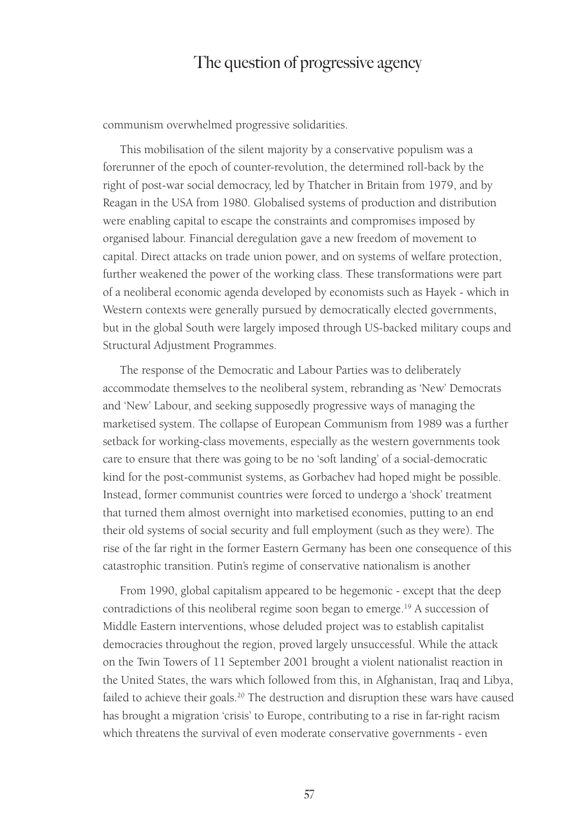communism overwhelmed progressive solidarities.

This mobilisation of the silent majority by a conservative populism was a forerunner of the epoch of counter-revolution, the determined roll-back by the right of post-war social democracy, led by Thatcher in Britain from 1979, and by Reagan in the USA from 1980. Globalised systems of production and distribution were enabling capital to escape the constraints and compromises imposed by organised labour. Financial deregulation gave a new freedom of movement to capital. Direct attacks on trade union power, and on systems of welfare protection, further weakened the power of the working class. These transformations were part of a neoliberal economic agenda developed by economists such as Hayek - which in Western contexts were generally pursued by democratically elected governments, but in the global South were largely imposed through US-backed military coups and Structural Adjustment Programmes.

The response of the Democratic and Labour Parties was to deliberately accommodate themselves to the neoliberal system, rebranding as 'New' Democrats and 'New' Labour, and seeking supposedly progressive ways of managing the marketised system. The collapse of European Communism from 1989 was a further setback for working-class movements, especially as the western governments took care to ensure that there was going to be no 'soft landing' of a social-democratic kind for the post-communist systems, as Gorbachev had hoped might be possible. Instead, former communist countries were forced to undergo a 'shock' treatment that turned them almost overnight into marketised economies, putting to an end their old systems of social security and full employment (such as they were). The rise of the far right in the former Eastern Germany has been one consequence of this catastrophic transition. Putin's regime of conservative nationalism is another

From 1990, global capitalism appeared to be hegemonic - except that the deep contradictions of this neoliberal regime soon began to emerge.<sup>19</sup> A succession of Middle Eastern interventions, whose deluded project was to establish capitalist democracies throughout the region, proved largely unsuccessful. While the attack on the Twin Towers of 11 September 2001 brought a violent nationalist reaction in the United States, the wars which followed from this, in Afghanistan, Iraq and Libya, failed to achieve their goals.<sup>20</sup> The destruction and disruption these wars have caused has brought a migration 'crisis' to Europe, contributing to a rise in far-right racism which threatens the survival of even moderate conservative governments - even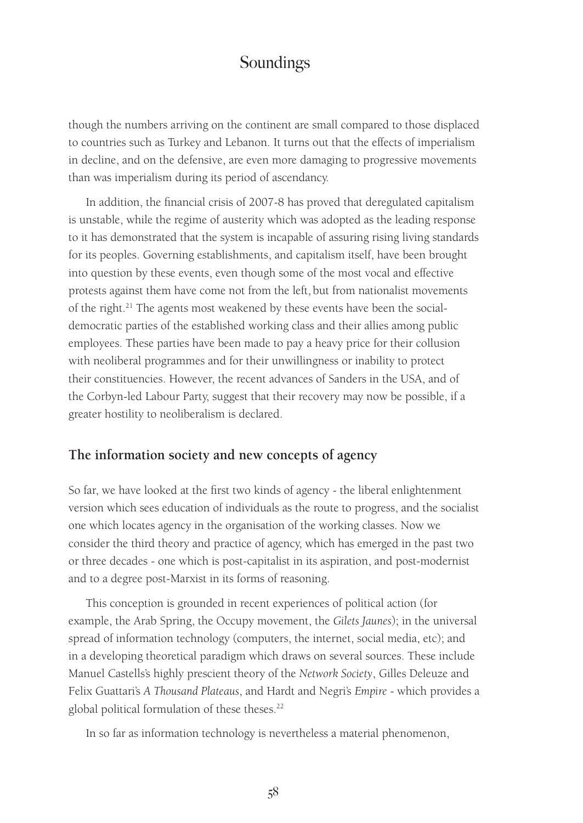though the numbers arriving on the continent are small compared to those displaced to countries such as Turkey and Lebanon. It turns out that the effects of imperialism in decline, and on the defensive, are even more damaging to progressive movements than was imperialism during its period of ascendancy.

In addition, the financial crisis of 2007-8 has proved that deregulated capitalism is unstable, while the regime of austerity which was adopted as the leading response to it has demonstrated that the system is incapable of assuring rising living standards for its peoples. Governing establishments, and capitalism itself, have been brought into question by these events, even though some of the most vocal and effective protests against them have come not from the left, but from nationalist movements of the right.<sup>21</sup> The agents most weakened by these events have been the socialdemocratic parties of the established working class and their allies among public employees. These parties have been made to pay a heavy price for their collusion with neoliberal programmes and for their unwillingness or inability to protect their constituencies. However, the recent advances of Sanders in the USA, and of the Corbyn-led Labour Party, suggest that their recovery may now be possible, if a greater hostility to neoliberalism is declared.

#### **The information society and new concepts of agency**

So far, we have looked at the first two kinds of agency - the liberal enlightenment version which sees education of individuals as the route to progress, and the socialist one which locates agency in the organisation of the working classes. Now we consider the third theory and practice of agency, which has emerged in the past two or three decades - one which is post-capitalist in its aspiration, and post-modernist and to a degree post-Marxist in its forms of reasoning.

This conception is grounded in recent experiences of political action (for example, the Arab Spring, the Occupy movement, the *Gilets Jaunes*); in the universal spread of information technology (computers, the internet, social media, etc); and in a developing theoretical paradigm which draws on several sources. These include Manuel Castells's highly prescient theory of the *Network Society*, Gilles Deleuze and Felix Guattari's *A Thousand Plateaus*, and Hardt and Negri's *Empire* - which provides a global political formulation of these theses.<sup>22</sup>

In so far as information technology is nevertheless a material phenomenon,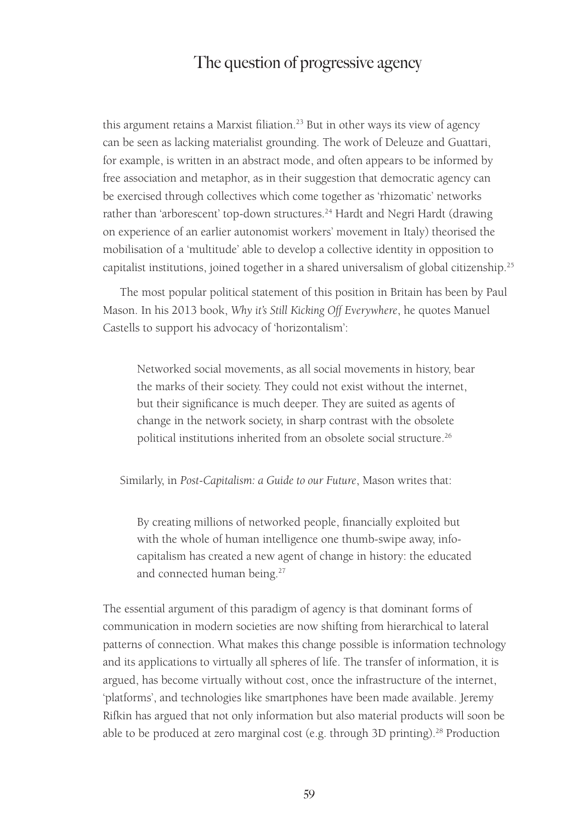this argument retains a Marxist filiation.<sup>23</sup> But in other ways its view of agency can be seen as lacking materialist grounding. The work of Deleuze and Guattari, for example, is written in an abstract mode, and often appears to be informed by free association and metaphor, as in their suggestion that democratic agency can be exercised through collectives which come together as 'rhizomatic' networks rather than 'arborescent' top-down structures.<sup>24</sup> Hardt and Negri Hardt (drawing on experience of an earlier autonomist workers' movement in Italy) theorised the mobilisation of a 'multitude' able to develop a collective identity in opposition to capitalist institutions, joined together in a shared universalism of global citizenship.<sup>25</sup>

The most popular political statement of this position in Britain has been by Paul Mason. In his 2013 book, *Why it's Still Kicking Off Everywhere*, he quotes Manuel Castells to support his advocacy of 'horizontalism':

Networked social movements, as all social movements in history, bear the marks of their society. They could not exist without the internet, but their significance is much deeper. They are suited as agents of change in the network society, in sharp contrast with the obsolete political institutions inherited from an obsolete social structure.26

Similarly, in *Post-Capitalism: a Guide to our Future*, Mason writes that:

By creating millions of networked people, financially exploited but with the whole of human intelligence one thumb-swipe away, infocapitalism has created a new agent of change in history: the educated and connected human being.<sup>27</sup>

The essential argument of this paradigm of agency is that dominant forms of communication in modern societies are now shifting from hierarchical to lateral patterns of connection. What makes this change possible is information technology and its applications to virtually all spheres of life. The transfer of information, it is argued, has become virtually without cost, once the infrastructure of the internet, 'platforms', and technologies like smartphones have been made available. Jeremy Rifkin has argued that not only information but also material products will soon be able to be produced at zero marginal cost (e.g. through 3D printing).<sup>28</sup> Production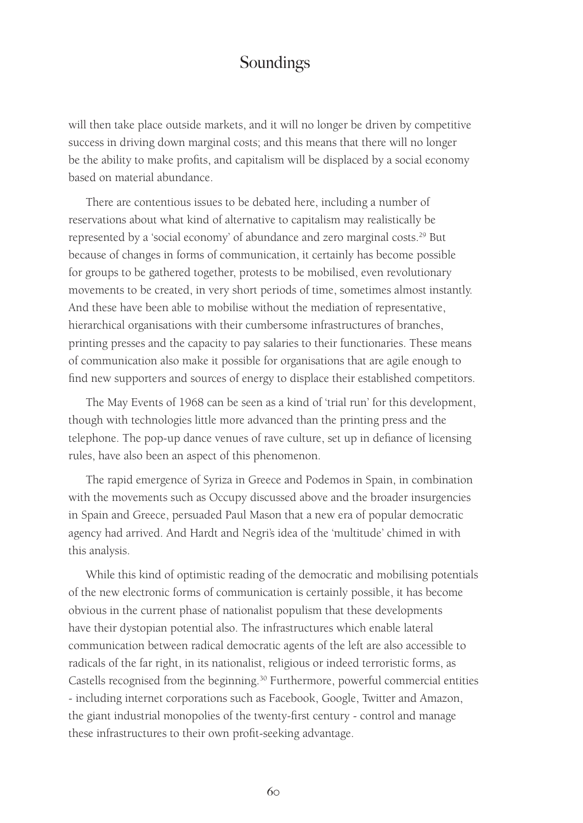will then take place outside markets, and it will no longer be driven by competitive success in driving down marginal costs; and this means that there will no longer be the ability to make profits, and capitalism will be displaced by a social economy based on material abundance.

There are contentious issues to be debated here, including a number of reservations about what kind of alternative to capitalism may realistically be represented by a 'social economy' of abundance and zero marginal costs.<sup>29</sup> But because of changes in forms of communication, it certainly has become possible for groups to be gathered together, protests to be mobilised, even revolutionary movements to be created, in very short periods of time, sometimes almost instantly. And these have been able to mobilise without the mediation of representative, hierarchical organisations with their cumbersome infrastructures of branches, printing presses and the capacity to pay salaries to their functionaries. These means of communication also make it possible for organisations that are agile enough to find new supporters and sources of energy to displace their established competitors.

The May Events of 1968 can be seen as a kind of 'trial run' for this development, though with technologies little more advanced than the printing press and the telephone. The pop-up dance venues of rave culture, set up in defiance of licensing rules, have also been an aspect of this phenomenon.

The rapid emergence of Syriza in Greece and Podemos in Spain, in combination with the movements such as Occupy discussed above and the broader insurgencies in Spain and Greece, persuaded Paul Mason that a new era of popular democratic agency had arrived. And Hardt and Negri's idea of the 'multitude' chimed in with this analysis.

While this kind of optimistic reading of the democratic and mobilising potentials of the new electronic forms of communication is certainly possible, it has become obvious in the current phase of nationalist populism that these developments have their dystopian potential also. The infrastructures which enable lateral communication between radical democratic agents of the left are also accessible to radicals of the far right, in its nationalist, religious or indeed terroristic forms, as Castells recognised from the beginning.30 Furthermore, powerful commercial entities - including internet corporations such as Facebook, Google, Twitter and Amazon, the giant industrial monopolies of the twenty-first century - control and manage these infrastructures to their own profit-seeking advantage.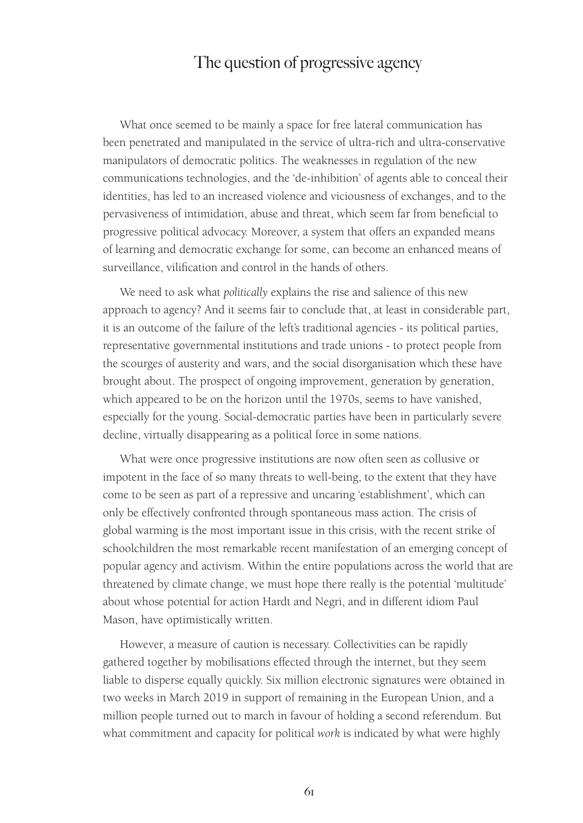What once seemed to be mainly a space for free lateral communication has been penetrated and manipulated in the service of ultra-rich and ultra-conservative manipulators of democratic politics. The weaknesses in regulation of the new communications technologies, and the 'de-inhibition' of agents able to conceal their identities, has led to an increased violence and viciousness of exchanges, and to the pervasiveness of intimidation, abuse and threat, which seem far from beneficial to progressive political advocacy. Moreover, a system that offers an expanded means of learning and democratic exchange for some, can become an enhanced means of surveillance, vilification and control in the hands of others.

We need to ask what *politically* explains the rise and salience of this new approach to agency? And it seems fair to conclude that, at least in considerable part, it is an outcome of the failure of the left's traditional agencies - its political parties, representative governmental institutions and trade unions - to protect people from the scourges of austerity and wars, and the social disorganisation which these have brought about. The prospect of ongoing improvement, generation by generation, which appeared to be on the horizon until the 1970s, seems to have vanished, especially for the young. Social-democratic parties have been in particularly severe decline, virtually disappearing as a political force in some nations.

What were once progressive institutions are now often seen as collusive or impotent in the face of so many threats to well-being, to the extent that they have come to be seen as part of a repressive and uncaring 'establishment', which can only be effectively confronted through spontaneous mass action. The crisis of global warming is the most important issue in this crisis, with the recent strike of schoolchildren the most remarkable recent manifestation of an emerging concept of popular agency and activism. Within the entire populations across the world that are threatened by climate change, we must hope there really is the potential 'multitude' about whose potential for action Hardt and Negri, and in different idiom Paul Mason, have optimistically written.

However, a measure of caution is necessary. Collectivities can be rapidly gathered together by mobilisations effected through the internet, but they seem liable to disperse equally quickly. Six million electronic signatures were obtained in two weeks in March 2019 in support of remaining in the European Union, and a million people turned out to march in favour of holding a second referendum. But what commitment and capacity for political *work* is indicated by what were highly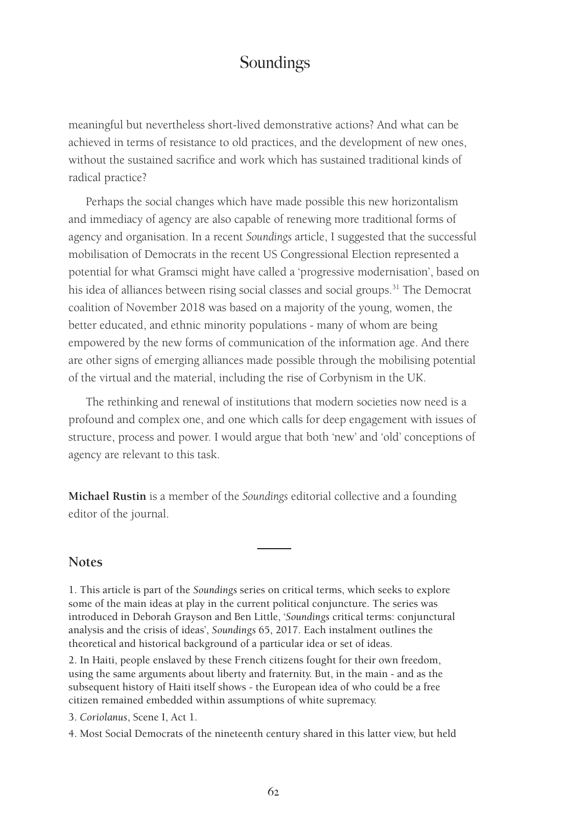meaningful but nevertheless short-lived demonstrative actions? And what can be achieved in terms of resistance to old practices, and the development of new ones, without the sustained sacrifice and work which has sustained traditional kinds of radical practice?

Perhaps the social changes which have made possible this new horizontalism and immediacy of agency are also capable of renewing more traditional forms of agency and organisation. In a recent *Soundings* article, I suggested that the successful mobilisation of Democrats in the recent US Congressional Election represented a potential for what Gramsci might have called a 'progressive modernisation', based on his idea of alliances between rising social classes and social groups.<sup>31</sup> The Democrat coalition of November 2018 was based on a majority of the young, women, the better educated, and ethnic minority populations - many of whom are being empowered by the new forms of communication of the information age. And there are other signs of emerging alliances made possible through the mobilising potential of the virtual and the material, including the rise of Corbynism in the UK.

The rethinking and renewal of institutions that modern societies now need is a profound and complex one, and one which calls for deep engagement with issues of structure, process and power. I would argue that both 'new' and 'old' conceptions of agency are relevant to this task.

**Michael Rustin** is a member of the *Soundings* editorial collective and a founding editor of the journal.

#### **Notes**

1. This article is part of the *Soundings* series on critical terms, which seeks to explore some of the main ideas at play in the current political conjuncture. The series was introduced in Deborah Grayson and Ben Little, '*Soundings* critical terms: conjunctural analysis and the crisis of ideas', *Soundings* 65, 2017. Each instalment outlines the theoretical and historical background of a particular idea or set of ideas.

2. In Haiti, people enslaved by these French citizens fought for their own freedom, using the same arguments about liberty and fraternity. But, in the main - and as the subsequent history of Haiti itself shows - the European idea of who could be a free citizen remained embedded within assumptions of white supremacy.

3. *Coriolanus*, Scene I, Act 1.

4. Most Social Democrats of the nineteenth century shared in this latter view, but held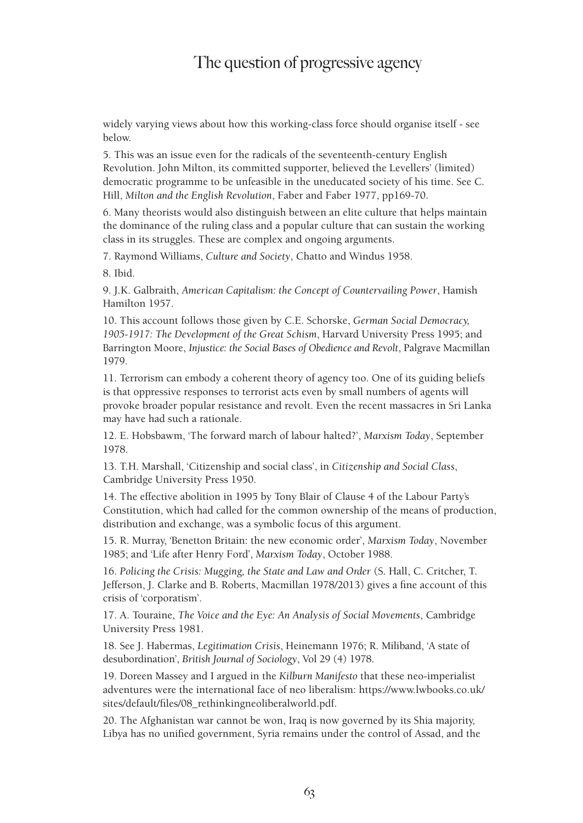widely varying views about how this working-class force should organise itself - see below.

5. This was an issue even for the radicals of the seventeenth-century English Revolution. John Milton, its committed supporter, believed the Levellers' (limited) democratic programme to be unfeasible in the uneducated society of his time. See C. Hill, *Milton and the English Revolution*, Faber and Faber 1977, pp169-70.

6. Many theorists would also distinguish between an elite culture that helps maintain the dominance of the ruling class and a popular culture that can sustain the working class in its struggles. These are complex and ongoing arguments.

7. Raymond Williams, *Culture and Society*, Chatto and Windus 1958.

8. Ibid.

9. J.K. Galbraith, *American Capitalism: the Concept of Countervailing Power*, Hamish Hamilton 1957.

10. This account follows those given by C.E. Schorske, *German Social Democracy, 1905-1917: The Development of the Great Schism*, Harvard University Press 1995; and Barrington Moore, *Injustice: the Social Bases of Obedience and Revolt*, Palgrave Macmillan 1979.

11. Terrorism can embody a coherent theory of agency too. One of its guiding beliefs is that oppressive responses to terrorist acts even by small numbers of agents will provoke broader popular resistance and revolt. Even the recent massacres in Sri Lanka may have had such a rationale.

12. E. Hobsbawm, 'The forward march of labour halted?', *Marxism Today*, September 1978.

13. T.H. Marshall, 'Citizenship and social class', in *Citizenship and Social Class*, Cambridge University Press 1950.

14. The effective abolition in 1995 by Tony Blair of Clause 4 of the Labour Party's Constitution, which had called for the common ownership of the means of production, distribution and exchange, was a symbolic focus of this argument.

15. R. Murray, 'Benetton Britain: the new economic order', *Marxism Today*, November 1985; and 'Life after Henry Ford', *Marxism Today*, October 1988.

16. *Policing the Crisis: Mugging, the State and Law and Order* (S. Hall, C. Critcher, T. Jefferson, J. Clarke and B. Roberts, Macmillan 1978/2013) gives a fine account of this crisis of 'corporatism'.

17. A. Touraine, *The Voice and the Eye: An Analysis of Social Movements*, Cambridge University Press 1981.

18. See J. Habermas, *Legitimation Crisis*, Heinemann 1976; R. Miliband, 'A state of desubordination', *British Journal of Sociology*, Vol 29 (4) 1978.

19. Doreen Massey and I argued in the *Kilburn Manifesto* that these neo-imperialist adventures were the international face of neo liberalism: https://www.lwbooks.co.uk/ sites/default/files/08\_rethinkingneoliberalworld.pdf.

20. The Afghanistan war cannot be won, Iraq is now governed by its Shia majority, Libya has no unified government, Syria remains under the control of Assad, and the